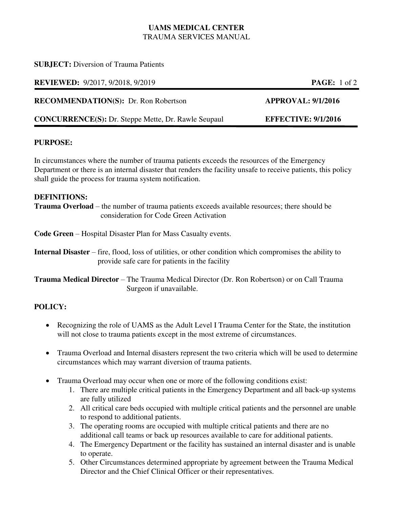## **UAMS MEDICAL CENTER**  TRAUMA SERVICES MANUAL

### **SUBJECT:** Diversion of Trauma Patients

**REVIEWED:** 9/2017, 9/2018, 9/2019 **PAGE:** 1 of 2

**RECOMMENDATION(S):** Dr. Ron Robertson **APPROVAL: 9/1/2016** 

**CONCURRENCE(S):** Dr. Steppe Mette, Dr. Rawle Seupaul **EFFECTIVE: 9/1/2016** 

## **PURPOSE:**

In circumstances where the number of trauma patients exceeds the resources of the Emergency Department or there is an internal disaster that renders the facility unsafe to receive patients, this policy shall guide the process for trauma system notification.

## **DEFINITIONS:**

**Trauma Overload** – the number of trauma patients exceeds available resources; there should be consideration for Code Green Activation

**Code Green** – Hospital Disaster Plan for Mass Casualty events.

**Internal Disaster** – fire, flood, loss of utilities, or other condition which compromises the ability to provide safe care for patients in the facility

**Trauma Medical Director** – The Trauma Medical Director (Dr. Ron Robertson) or on Call Trauma Surgeon if unavailable.

# **POLICY:**

- Recognizing the role of UAMS as the Adult Level I Trauma Center for the State, the institution will not close to trauma patients except in the most extreme of circumstances.
- Trauma Overload and Internal disasters represent the two criteria which will be used to determine circumstances which may warrant diversion of trauma patients.
- Trauma Overload may occur when one or more of the following conditions exist:
	- 1. There are multiple critical patients in the Emergency Department and all back-up systems are fully utilized
	- 2. All critical care beds occupied with multiple critical patients and the personnel are unable to respond to additional patients.
	- 3. The operating rooms are occupied with multiple critical patients and there are no additional call teams or back up resources available to care for additional patients.
	- 4. The Emergency Department or the facility has sustained an internal disaster and is unable to operate.
	- 5. Other Circumstances determined appropriate by agreement between the Trauma Medical Director and the Chief Clinical Officer or their representatives.